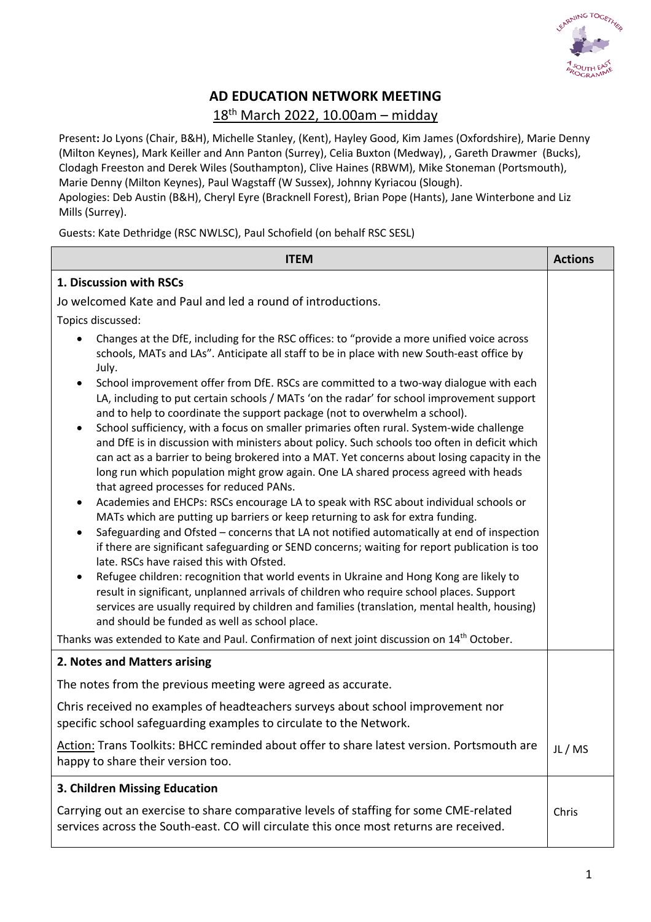

## **AD EDUCATION NETWORK MEETING**

## 18th March 2022, 10.00am – midday

Present**:** Jo Lyons (Chair, B&H), Michelle Stanley, (Kent), Hayley Good, Kim James (Oxfordshire), Marie Denny (Milton Keynes), Mark Keiller and Ann Panton (Surrey), Celia Buxton (Medway), , Gareth Drawmer (Bucks), Clodagh Freeston and Derek Wiles (Southampton), Clive Haines (RBWM), Mike Stoneman (Portsmouth), Marie Denny (Milton Keynes), Paul Wagstaff (W Sussex), Johnny Kyriacou (Slough). Apologies: Deb Austin (B&H), Cheryl Eyre (Bracknell Forest), Brian Pope (Hants), Jane Winterbone and Liz Mills (Surrey).

Guests: Kate Dethridge (RSC NWLSC), Paul Schofield (on behalf RSC SESL)

| <b>ITEM</b>                                                                                                                                                                                                                                                                                                                                                                             | <b>Actions</b> |
|-----------------------------------------------------------------------------------------------------------------------------------------------------------------------------------------------------------------------------------------------------------------------------------------------------------------------------------------------------------------------------------------|----------------|
| 1. Discussion with RSCs                                                                                                                                                                                                                                                                                                                                                                 |                |
| Jo welcomed Kate and Paul and led a round of introductions.                                                                                                                                                                                                                                                                                                                             |                |
| Topics discussed:                                                                                                                                                                                                                                                                                                                                                                       |                |
| Changes at the DfE, including for the RSC offices: to "provide a more unified voice across<br>$\bullet$<br>schools, MATs and LAs". Anticipate all staff to be in place with new South-east office by<br>July.                                                                                                                                                                           |                |
| School improvement offer from DfE. RSCs are committed to a two-way dialogue with each<br>LA, including to put certain schools / MATs 'on the radar' for school improvement support<br>and to help to coordinate the support package (not to overwhelm a school).<br>School sufficiency, with a focus on smaller primaries often rural. System-wide challenge<br>$\bullet$               |                |
| and DfE is in discussion with ministers about policy. Such schools too often in deficit which<br>can act as a barrier to being brokered into a MAT. Yet concerns about losing capacity in the<br>long run which population might grow again. One LA shared process agreed with heads<br>that agreed processes for reduced PANs.                                                         |                |
| Academies and EHCPs: RSCs encourage LA to speak with RSC about individual schools or<br>٠<br>MATs which are putting up barriers or keep returning to ask for extra funding.<br>Safeguarding and Ofsted - concerns that LA not notified automatically at end of inspection<br>$\bullet$<br>if there are significant safeguarding or SEND concerns; waiting for report publication is too |                |
| late. RSCs have raised this with Ofsted.<br>Refugee children: recognition that world events in Ukraine and Hong Kong are likely to<br>result in significant, unplanned arrivals of children who require school places. Support<br>services are usually required by children and families (translation, mental health, housing)<br>and should be funded as well as school place.         |                |
| Thanks was extended to Kate and Paul. Confirmation of next joint discussion on 14 <sup>th</sup> October.                                                                                                                                                                                                                                                                                |                |
| 2. Notes and Matters arising                                                                                                                                                                                                                                                                                                                                                            |                |
| The notes from the previous meeting were agreed as accurate.                                                                                                                                                                                                                                                                                                                            |                |
| Chris received no examples of headteachers surveys about school improvement nor<br>specific school safeguarding examples to circulate to the Network.                                                                                                                                                                                                                                   |                |
| Action: Trans Toolkits: BHCC reminded about offer to share latest version. Portsmouth are<br>happy to share their version too.                                                                                                                                                                                                                                                          | JL/MS          |
| 3. Children Missing Education                                                                                                                                                                                                                                                                                                                                                           |                |
| Carrying out an exercise to share comparative levels of staffing for some CME-related<br>services across the South-east. CO will circulate this once most returns are received.                                                                                                                                                                                                         | Chris          |